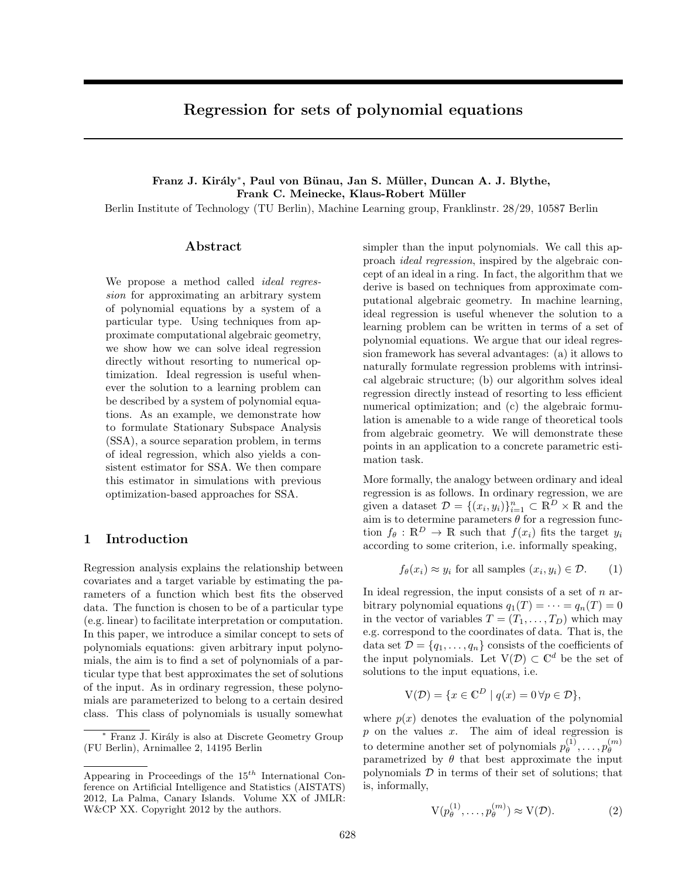# Regression for sets of polynomial equations

#### Franz J. Király\*, Paul von Bünau, Jan S. Müller, Duncan A. J. Blythe, Frank C. Meinecke, Klaus-Robert Müller

Berlin Institute of Technology (TU Berlin), Machine Learning group, Franklinstr. 28/29, 10587 Berlin

### Abstract

We propose a method called *ideal regres*sion for approximating an arbitrary system of polynomial equations by a system of a particular type. Using techniques from approximate computational algebraic geometry, we show how we can solve ideal regression directly without resorting to numerical optimization. Ideal regression is useful whenever the solution to a learning problem can be described by a system of polynomial equations. As an example, we demonstrate how to formulate Stationary Subspace Analysis (SSA), a source separation problem, in terms of ideal regression, which also yields a consistent estimator for SSA. We then compare this estimator in simulations with previous optimization-based approaches for SSA.

### 1 Introduction

Regression analysis explains the relationship between covariates and a target variable by estimating the parameters of a function which best fits the observed data. The function is chosen to be of a particular type (e.g. linear) to facilitate interpretation or computation. In this paper, we introduce a similar concept to sets of polynomials equations: given arbitrary input polynomials, the aim is to find a set of polynomials of a particular type that best approximates the set of solutions of the input. As in ordinary regression, these polynomials are parameterized to belong to a certain desired class. This class of polynomials is usually somewhat

simpler than the input polynomials. We call this approach ideal regression, inspired by the algebraic concept of an ideal in a ring. In fact, the algorithm that we derive is based on techniques from approximate computational algebraic geometry. In machine learning, ideal regression is useful whenever the solution to a learning problem can be written in terms of a set of polynomial equations. We argue that our ideal regression framework has several advantages: (a) it allows to naturally formulate regression problems with intrinsical algebraic structure; (b) our algorithm solves ideal regression directly instead of resorting to less efficient numerical optimization; and (c) the algebraic formulation is amenable to a wide range of theoretical tools from algebraic geometry. We will demonstrate these points in an application to a concrete parametric estimation task.

More formally, the analogy between ordinary and ideal regression is as follows. In ordinary regression, we are given a dataset  $\mathcal{D} = \{(x_i, y_i)\}_{i=1}^n \subset \mathbb{R}^D \times \mathbb{R}$  and the aim is to determine parameters  $\theta$  for a regression function  $f_{\theta} : \mathbb{R}^D \to \mathbb{R}$  such that  $f(x_i)$  fits the target  $y_i$ according to some criterion, i.e. informally speaking,

$$
f_{\theta}(x_i) \approx y_i
$$
 for all samples  $(x_i, y_i) \in \mathcal{D}$ . (1)

In ideal regression, the input consists of a set of  $n$  arbitrary polynomial equations  $q_1(T) = \cdots = q_n(T) = 0$ in the vector of variables  $T = (T_1, \ldots, T_D)$  which may e.g. correspond to the coordinates of data. That is, the data set  $\mathcal{D} = \{q_1, \ldots, q_n\}$  consists of the coefficients of the input polynomials. Let  $V(\mathcal{D}) \subset \mathbb{C}^d$  be the set of solutions to the input equations, i.e.

$$
V(\mathcal{D}) = \{ x \in \mathbb{C}^D \mid q(x) = 0 \,\forall p \in \mathcal{D} \},
$$

where  $p(x)$  denotes the evaluation of the polynomial  $p$  on the values  $x$ . The aim of ideal regression is to determine another set of polynomials  $p_{\theta}^{(1)}$  $\overset{(1)}{\theta}, \ldots, \overset{(m)}{\theta}$ θ parametrized by  $\theta$  that best approximate the input polynomials  $D$  in terms of their set of solutions; that is, informally,

$$
V(p_{\theta}^{(1)}, \dots, p_{\theta}^{(m)}) \approx V(\mathcal{D}).
$$
 (2)

<sup>∗</sup> Franz J. Kir´aly is also at Discrete Geometry Group (FU Berlin), Arnimallee 2, 14195 Berlin

Appearing in Proceedings of the  $15^{th}$  International Conference on Artificial Intelligence and Statistics (AISTATS) 2012, La Palma, Canary Islands. Volume XX of JMLR: W&CP XX. Copyright 2012 by the authors.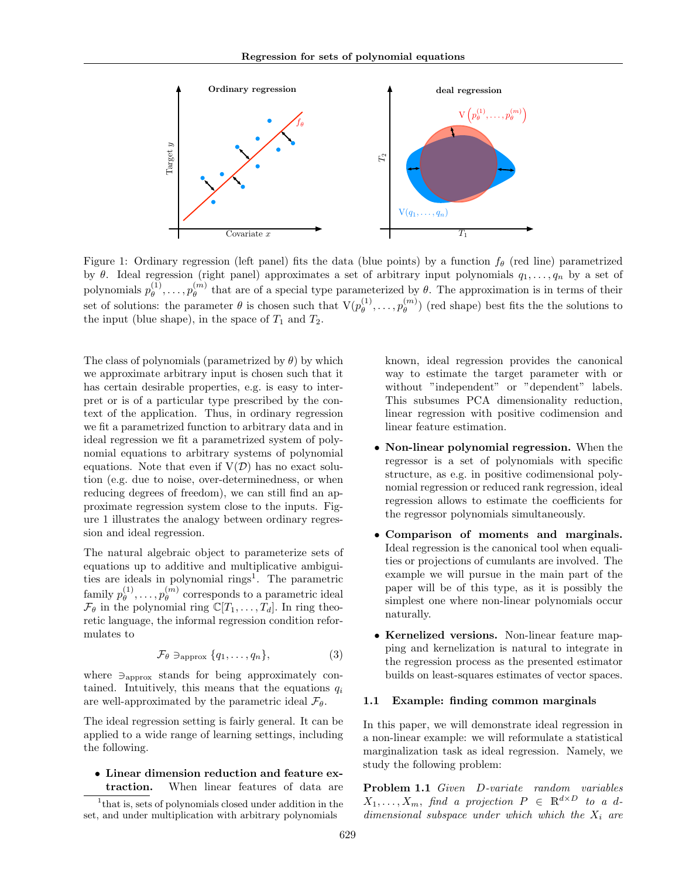

Figure 1: Ordinary regression (left panel) fits the data (blue points) by a function  $f_{\theta}$  (red line) parametrized by θ. Ideal regression (right panel) approximates a set of arbitrary input polynomials  $q_1, \ldots, q_n$  by a set of polynomials  $p_{\theta}^{(1)}$  $\overset{(1)}{\theta}, \ldots, \overset{(m)}{\theta}$  $\theta_{\theta}^{(m)}$  that are of a special type parameterized by  $\theta$ . The approximation is in terms of their set of solutions: the parameter  $\theta$  is chosen such that  $V(p_{\theta}^{(1)})$  $\theta^{(1)}, \ldots, p_\theta^{(m)}$  $\binom{m}{\theta}$  (red shape) best fits the the solutions to the input (blue shape), in the space of  $T_1$  and  $T_2$ .

The class of polynomials (parametrized by  $\theta$ ) by which we approximate arbitrary input is chosen such that it has certain desirable properties, e.g. is easy to interpret or is of a particular type prescribed by the context of the application. Thus, in ordinary regression we fit a parametrized function to arbitrary data and in ideal regression we fit a parametrized system of polynomial equations to arbitrary systems of polynomial equations. Note that even if  $V(\mathcal{D})$  has no exact solution (e.g. due to noise, over-determinedness, or when reducing degrees of freedom), we can still find an approximate regression system close to the inputs. Figure 1 illustrates the analogy between ordinary regression and ideal regression.

The natural algebraic object to parameterize sets of equations up to additive and multiplicative ambiguities are ideals in polynomial rings<sup>1</sup>. The parametric family  $p_{\theta}^{(1)}$  $\theta_{\theta}^{(1)}, \ldots, p_{\theta}^{(m)}$  $\binom{m}{\theta}$  corresponds to a parametric ideal  $\mathcal{F}_{\theta}$  in the polynomial ring  $\mathbb{C}[T_1,\ldots,T_d]$ . In ring theoretic language, the informal regression condition reformulates to

$$
\mathcal{F}_{\theta} \ni_{\text{approx}} \{q_1, \dots, q_n\},\tag{3}
$$

where  $\exists_{\text{approx}}$  stands for being approximately contained. Intuitively, this means that the equations  $q_i$ are well-approximated by the parametric ideal  $\mathcal{F}_{\theta}$ .

The ideal regression setting is fairly general. It can be applied to a wide range of learning settings, including the following.

• Linear dimension reduction and feature ex-<br>traction. When linear features of data are When linear features of data are known, ideal regression provides the canonical way to estimate the target parameter with or without "independent" or "dependent" labels. This subsumes PCA dimensionality reduction, linear regression with positive codimension and linear feature estimation.

- Non-linear polynomial regression. When the regressor is a set of polynomials with specific structure, as e.g. in positive codimensional polynomial regression or reduced rank regression, ideal regression allows to estimate the coefficients for the regressor polynomials simultaneously.
- Comparison of moments and marginals. Ideal regression is the canonical tool when equalities or projections of cumulants are involved. The example we will pursue in the main part of the paper will be of this type, as it is possibly the simplest one where non-linear polynomials occur naturally.
- Kernelized versions. Non-linear feature mapping and kernelization is natural to integrate in the regression process as the presented estimator builds on least-squares estimates of vector spaces.

#### 1.1 Example: finding common marginals

In this paper, we will demonstrate ideal regression in a non-linear example: we will reformulate a statistical marginalization task as ideal regression. Namely, we study the following problem:

Problem 1.1 Given D-variate random variables  $X_1, \ldots, X_m$ , find a projection  $P \in \mathbb{R}^{d \times D}$  to a ddimensional subspace under which which the  $X_i$  are

<sup>&</sup>lt;sup>1</sup>that is, sets of polynomials closed under addition in the set, and under multiplication with arbitrary polynomials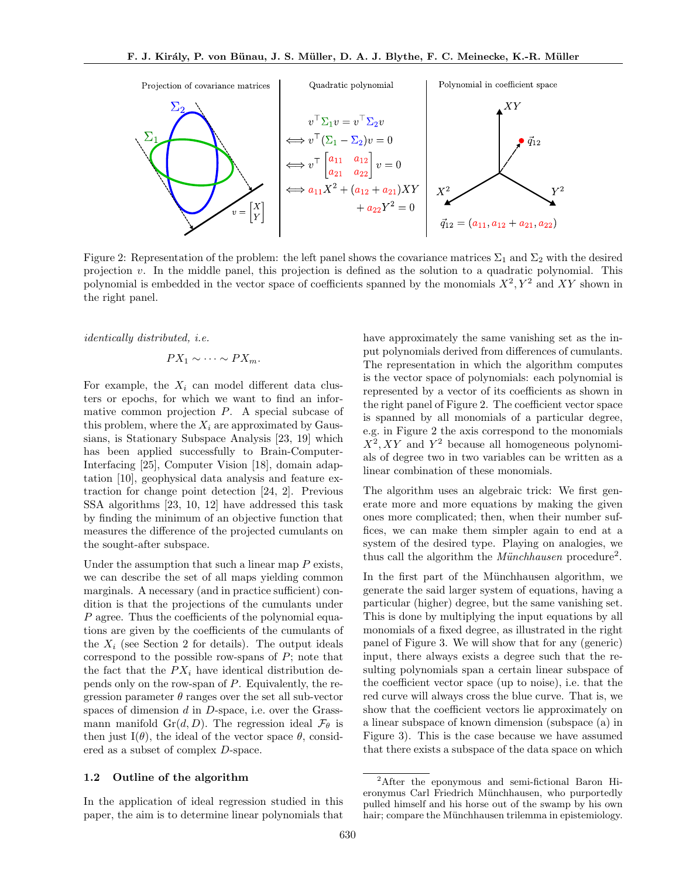

Figure 2: Representation of the problem: the left panel shows the covariance matrices  $\Sigma_1$  and  $\Sigma_2$  with the desired projection v. In the middle panel, this projection is defined as the solution to a quadratic polynomial. This polynomial is embedded in the vector space of coefficients spanned by the monomials  $X^2, Y^2$  and XY shown in the right panel.

identically distributed, i.e.

$$
PX_1 \sim \cdots \sim PX_m.
$$

For example, the  $X_i$  can model different data clusters or epochs, for which we want to find an informative common projection P. A special subcase of this problem, where the  $X_i$  are approximated by Gaussians, is Stationary Subspace Analysis [23, 19] which has been applied successfully to Brain-Computer-Interfacing [25], Computer Vision [18], domain adaptation [10], geophysical data analysis and feature extraction for change point detection [24, 2]. Previous SSA algorithms [23, 10, 12] have addressed this task by finding the minimum of an objective function that measures the difference of the projected cumulants on the sought-after subspace.

Under the assumption that such a linear map  $P$  exists, we can describe the set of all maps yielding common marginals. A necessary (and in practice sufficient) condition is that the projections of the cumulants under P agree. Thus the coefficients of the polynomial equations are given by the coefficients of the cumulants of the  $X_i$  (see Section 2 for details). The output ideals correspond to the possible row-spans of  $P$ ; note that the fact that the  $PX_i$  have identical distribution depends only on the row-span of P. Equivalently, the regression parameter  $\theta$  ranges over the set all sub-vector spaces of dimension d in D-space, i.e. over the Grassmann manifold Gr(d, D). The regression ideal  $\mathcal{F}_{\theta}$  is then just I( $\theta$ ), the ideal of the vector space  $\theta$ , considered as a subset of complex D-space.

#### 1.2 Outline of the algorithm

In the application of ideal regression studied in this paper, the aim is to determine linear polynomials that have approximately the same vanishing set as the input polynomials derived from differences of cumulants. The representation in which the algorithm computes is the vector space of polynomials: each polynomial is represented by a vector of its coefficients as shown in the right panel of Figure 2. The coefficient vector space is spanned by all monomials of a particular degree, e.g. in Figure 2 the axis correspond to the monomials  $X^2, XY$  and  $Y^2$  because all homogeneous polynomials of degree two in two variables can be written as a linear combination of these monomials.

The algorithm uses an algebraic trick: We first generate more and more equations by making the given ones more complicated; then, when their number suffices, we can make them simpler again to end at a system of the desired type. Playing on analogies, we thus call the algorithm the  $M\ddot{u}nchhausen$  procedure<sup>2</sup>.

In the first part of the Münchhausen algorithm, we generate the said larger system of equations, having a particular (higher) degree, but the same vanishing set. This is done by multiplying the input equations by all monomials of a fixed degree, as illustrated in the right panel of Figure 3. We will show that for any (generic) input, there always exists a degree such that the resulting polynomials span a certain linear subspace of the coefficient vector space (up to noise), i.e. that the red curve will always cross the blue curve. That is, we show that the coefficient vectors lie approximately on a linear subspace of known dimension (subspace (a) in Figure 3). This is the case because we have assumed that there exists a subspace of the data space on which

<sup>2</sup>After the eponymous and semi-fictional Baron Hieronymus Carl Friedrich Münchhausen, who purportedly pulled himself and his horse out of the swamp by his own hair; compare the Münchhausen trilemma in epistemiology.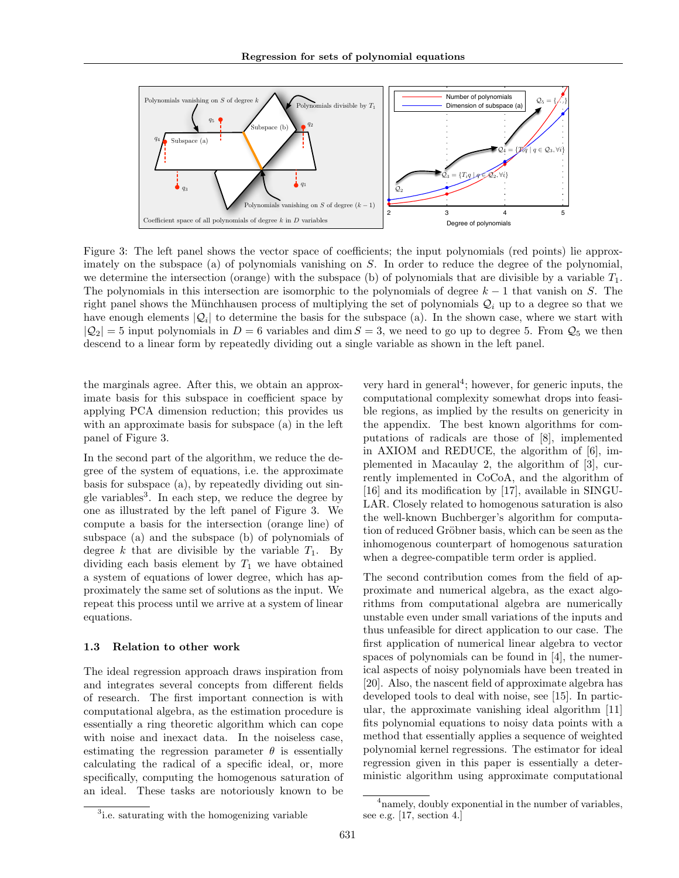

Figure 3: The left panel shows the vector space of coefficients; the input polynomials (red points) lie approximately on the subspace (a) of polynomials vanishing on S. In order to reduce the degree of the polynomial, we determine the intersection (orange) with the subspace (b) of polynomials that are divisible by a variable  $T_1$ . The polynomials in this intersection are isomorphic to the polynomials of degree  $k - 1$  that vanish on S. The right panel shows the Münchhausen process of multiplying the set of polynomials  $\mathcal{Q}_i$  up to a degree so that we have enough elements  $|Q_i|$  to determine the basis for the subspace (a). In the shown case, where we start with  $|Q_2| = 5$  input polynomials in  $D = 6$  variables and dim  $S = 3$ , we need to go up to degree 5. From  $Q_5$  we then descend to a linear form by repeatedly dividing out a single variable as shown in the left panel.

the marginals agree. After this, we obtain an approximate basis for this subspace in coefficient space by applying PCA dimension reduction; this provides us with an approximate basis for subspace (a) in the left panel of Figure 3.

In the second part of the algorithm, we reduce the degree of the system of equations, i.e. the approximate basis for subspace (a), by repeatedly dividing out single variables<sup>3</sup> . In each step, we reduce the degree by one as illustrated by the left panel of Figure 3. We compute a basis for the intersection (orange line) of subspace (a) and the subspace (b) of polynomials of degree k that are divisible by the variable  $T_1$ . By dividing each basis element by  $T_1$  we have obtained a system of equations of lower degree, which has approximately the same set of solutions as the input. We repeat this process until we arrive at a system of linear equations.

#### 1.3 Relation to other work

The ideal regression approach draws inspiration from and integrates several concepts from different fields of research. The first important connection is with computational algebra, as the estimation procedure is essentially a ring theoretic algorithm which can cope with noise and inexact data. In the noiseless case, estimating the regression parameter  $\theta$  is essentially calculating the radical of a specific ideal, or, more specifically, computing the homogenous saturation of an ideal. These tasks are notoriously known to be

very hard in general<sup>4</sup>; however, for generic inputs, the computational complexity somewhat drops into feasible regions, as implied by the results on genericity in the appendix. The best known algorithms for computations of radicals are those of [8], implemented in AXIOM and REDUCE, the algorithm of [6], implemented in Macaulay 2, the algorithm of [3], currently implemented in CoCoA, and the algorithm of [16] and its modification by [17], available in SINGU-LAR. Closely related to homogenous saturation is also the well-known Buchberger's algorithm for computation of reduced Gröbner basis, which can be seen as the inhomogenous counterpart of homogenous saturation when a degree-compatible term order is applied.

The second contribution comes from the field of approximate and numerical algebra, as the exact algorithms from computational algebra are numerically unstable even under small variations of the inputs and thus unfeasible for direct application to our case. The first application of numerical linear algebra to vector spaces of polynomials can be found in [4], the numerical aspects of noisy polynomials have been treated in [20]. Also, the nascent field of approximate algebra has developed tools to deal with noise, see [15]. In particular, the approximate vanishing ideal algorithm [11] fits polynomial equations to noisy data points with a method that essentially applies a sequence of weighted polynomial kernel regressions. The estimator for ideal regression given in this paper is essentially a deterministic algorithm using approximate computational

<sup>3</sup> i.e. saturating with the homogenizing variable

<sup>&</sup>lt;sup>4</sup>namely, doubly exponential in the number of variables, see e.g. [17, section 4.]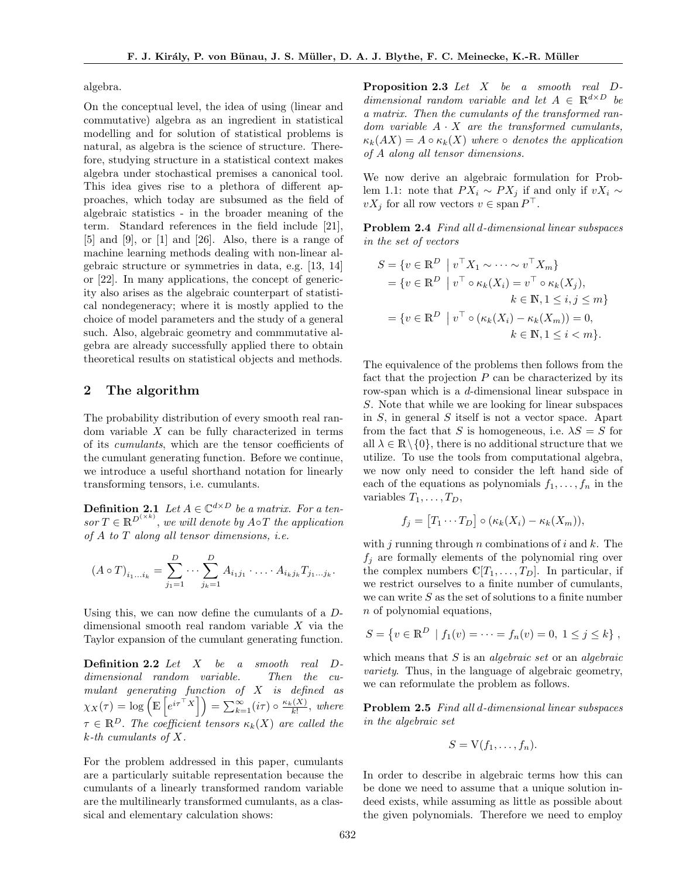algebra.

On the conceptual level, the idea of using (linear and commutative) algebra as an ingredient in statistical modelling and for solution of statistical problems is natural, as algebra is the science of structure. Therefore, studying structure in a statistical context makes algebra under stochastical premises a canonical tool. This idea gives rise to a plethora of different approaches, which today are subsumed as the field of algebraic statistics - in the broader meaning of the term. Standard references in the field include [21],  $[5]$  and  $[9]$ , or  $[1]$  and  $[26]$ . Also, there is a range of machine learning methods dealing with non-linear algebraic structure or symmetries in data, e.g. [13, 14] or [22]. In many applications, the concept of genericity also arises as the algebraic counterpart of statistical nondegeneracy; where it is mostly applied to the choice of model parameters and the study of a general such. Also, algebraic geometry and commmutative algebra are already successfully applied there to obtain theoretical results on statistical objects and methods.

# 2 The algorithm

The probability distribution of every smooth real random variable  $X$  can be fully characterized in terms of its cumulants, which are the tensor coefficients of the cumulant generating function. Before we continue, we introduce a useful shorthand notation for linearly transforming tensors, i.e. cumulants.

**Definition 2.1** Let  $A \in \mathbb{C}^{d \times D}$  be a matrix. For a tensor  $T \in \mathbb{R}^{D^{(\times k)}}$ , we will denote by  $A \circ T$  the application of A to T along all tensor dimensions, i.e.

$$
(A \circ T)_{i_1...i_k} = \sum_{j_1=1}^D \cdots \sum_{j_k=1}^D A_{i_1j_1} \cdot \cdots \cdot A_{i_kj_k} T_{j_1...j_k}.
$$

Using this, we can now define the cumulants of a Ddimensional smooth real random variable X via the Taylor expansion of the cumulant generating function.

Definition 2.2 Let X be a smooth real Ddimensional random variable. Then the cumulant generating function of X is defined as  $\chi_X(\tau) = \log \left( \mathbb{E} \left[ e^{i\tau^{\top}X} \right] \right) = \sum_{k=1}^{\infty} (i\tau) \circ \frac{\kappa_k(X)}{k!}, \text{ where}$  $\tau \in \mathbb{R}^D$ . The coefficient tensors  $\kappa_k(X)$  are called the k-th cumulants of X.

For the problem addressed in this paper, cumulants are a particularly suitable representation because the cumulants of a linearly transformed random variable are the multilinearly transformed cumulants, as a classical and elementary calculation shows:

Proposition 2.3 Let X be a smooth real Ddimensional random variable and let  $A \in \mathbb{R}^{d \times D}$  be a matrix. Then the cumulants of the transformed random variable  $A \cdot X$  are the transformed cumulants,  $\kappa_k(AX) = A \circ \kappa_k(X)$  where  $\circ$  denotes the application of A along all tensor dimensions.

We now derive an algebraic formulation for Problem 1.1: note that  $PX_i \sim PX_j$  if and only if  $vX_i \sim$  $vX_j$  for all row vectors  $v \in \text{span } P^{\perp}$ .

Problem 2.4 Find all d-dimensional linear subspaces in the set of vectors

$$
S = \{ v \in \mathbb{R}^D \mid v^\top X_1 \sim \cdots \sim v^\top X_m \}
$$
  
=  $\{ v \in \mathbb{R}^D \mid v^\top \circ \kappa_k(X_i) = v^\top \circ \kappa_k(X_j),$   
 $k \in \mathbb{N}, 1 \le i, j \le m \}$   
=  $\{ v \in \mathbb{R}^D \mid v^\top \circ (\kappa_k(X_i) - \kappa_k(X_m)) = 0,$   
 $k \in \mathbb{N}, 1 \le i < m \}.$ 

The equivalence of the problems then follows from the fact that the projection  $P$  can be characterized by its row-span which is a d-dimensional linear subspace in S. Note that while we are looking for linear subspaces in S, in general S itself is not a vector space. Apart from the fact that S is homogeneous, i.e.  $\lambda S = S$  for all  $\lambda \in \mathbb{R} \setminus \{0\}$ , there is no additional structure that we utilize. To use the tools from computational algebra, we now only need to consider the left hand side of each of the equations as polynomials  $f_1, \ldots, f_n$  in the variables  $T_1, \ldots, T_D$ ,

$$
f_j = [T_1 \cdots T_D] \circ (\kappa_k(X_i) - \kappa_k(X_m)),
$$

with j running through n combinations of i and k. The  $f_i$  are formally elements of the polynomial ring over the complex numbers  $\mathbb{C}[T_1,\ldots,T_D]$ . In particular, if we restrict ourselves to a finite number of cumulants, we can write  $S$  as the set of solutions to a finite number n of polynomial equations,

$$
S = \{ v \in \mathbb{R}^D \mid f_1(v) = \dots = f_n(v) = 0, \ 1 \le j \le k \},
$$

which means that  $S$  is an *algebraic set* or an *algebraic* variety. Thus, in the language of algebraic geometry, we can reformulate the problem as follows.

Problem 2.5 Find all d-dimensional linear subspaces in the algebraic set

$$
S = \mathcal{V}(f_1, \ldots, f_n).
$$

In order to describe in algebraic terms how this can be done we need to assume that a unique solution indeed exists, while assuming as little as possible about the given polynomials. Therefore we need to employ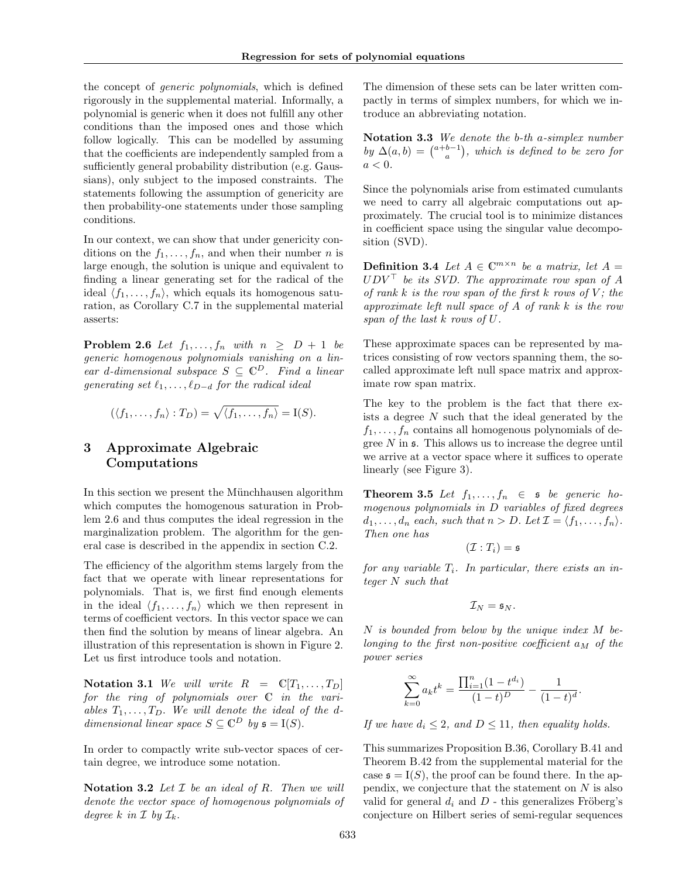the concept of generic polynomials, which is defined rigorously in the supplemental material. Informally, a polynomial is generic when it does not fulfill any other conditions than the imposed ones and those which follow logically. This can be modelled by assuming that the coefficients are independently sampled from a sufficiently general probability distribution (e.g. Gaussians), only subject to the imposed constraints. The statements following the assumption of genericity are then probability-one statements under those sampling conditions.

In our context, we can show that under genericity conditions on the  $f_1, \ldots, f_n$ , and when their number n is large enough, the solution is unique and equivalent to finding a linear generating set for the radical of the ideal  $\langle f_1, \ldots, f_n \rangle$ , which equals its homogenous saturation, as Corollary C.7 in the supplemental material asserts:

**Problem 2.6** Let  $f_1, \ldots, f_n$  with  $n \geq D + 1$  be generic homogenous polynomials vanishing on a lin- $\textit{ear d-dimensional subspace } S \subseteq \mathbb{C}^D$ . Find a linear generating set  $\ell_1, \ldots, \ell_{D-d}$  for the radical ideal

$$
(\langle f_1,\ldots,f_n\rangle:T_D)=\sqrt{\langle f_1,\ldots,f_n\rangle}=I(S).
$$

# 3 Approximate Algebraic Computations

In this section we present the Münchhausen algorithm which computes the homogenous saturation in Problem 2.6 and thus computes the ideal regression in the marginalization problem. The algorithm for the general case is described in the appendix in section C.2.

The efficiency of the algorithm stems largely from the fact that we operate with linear representations for polynomials. That is, we first find enough elements in the ideal  $\langle f_1, \ldots, f_n \rangle$  which we then represent in terms of coefficient vectors. In this vector space we can then find the solution by means of linear algebra. An illustration of this representation is shown in Figure 2. Let us first introduce tools and notation.

Notation 3.1 We will write  $R = \mathbb{C}[T_1, \ldots, T_D]$ for the ring of polynomials over C in the variables  $T_1, \ldots, T_D$ . We will denote the ideal of the ddimensional linear space  $S \subseteq \mathbb{C}^D$  by  $\mathfrak{s} = I(S)$ .

In order to compactly write sub-vector spaces of certain degree, we introduce some notation.

Notation 3.2 Let  $I$  be an ideal of  $R$ . Then we will denote the vector space of homogenous polynomials of degree k in  $\mathcal I$  by  $\mathcal I_k$ .

The dimension of these sets can be later written compactly in terms of simplex numbers, for which we introduce an abbreviating notation.

Notation 3.3 We denote the b-th a-simplex number by  $\Delta(a,b) = {a+b-1 \choose a}$ , which is defined to be zero for  $a < 0$ .

Since the polynomials arise from estimated cumulants we need to carry all algebraic computations out approximately. The crucial tool is to minimize distances in coefficient space using the singular value decomposition (SVD).

**Definition 3.4** Let  $A \in \mathbb{C}^{m \times n}$  be a matrix, let  $A =$  $UDV^{\top}$  be its SVD. The approximate row span of A of rank  $k$  is the row span of the first  $k$  rows of  $V$ ; the approximate left null space of A of rank k is the row span of the last k rows of U.

These approximate spaces can be represented by matrices consisting of row vectors spanning them, the socalled approximate left null space matrix and approximate row span matrix.

The key to the problem is the fact that there exists a degree N such that the ideal generated by the  $f_1, \ldots, f_n$  contains all homogenous polynomials of degree  $N$  in  $\mathfrak s$ . This allows us to increase the degree until we arrive at a vector space where it suffices to operate linearly (see Figure 3).

**Theorem 3.5** Let  $f_1, \ldots, f_n \in \mathfrak{s}$  be generic homogenous polynomials in D variables of fixed degrees  $d_1, \ldots, d_n$  each, such that  $n > D$ . Let  $\mathcal{I} = \langle f_1, \ldots, f_n \rangle$ . Then one has

$$
(\mathcal{I}:T_i)=\mathfrak{s}
$$

for any variable  $T_i$ . In particular, there exists an integer N such that

$$
\mathcal{I}_N=\mathfrak{s}_N.
$$

N is bounded from below by the unique index M belonging to the first non-positive coefficient  $a_M$  of the power series

$$
\sum_{k=0}^{\infty} a_k t^k = \frac{\prod_{i=1}^n (1 - t^{d_i})}{(1 - t)^D} - \frac{1}{(1 - t)^d}.
$$

If we have  $d_i \leq 2$ , and  $D \leq 11$ , then equality holds.

This summarizes Proposition B.36, Corollary B.41 and Theorem B.42 from the supplemental material for the case  $\mathfrak{s} = I(S)$ , the proof can be found there. In the appendix, we conjecture that the statement on  $N$  is also valid for general  $d_i$  and  $D$  - this generalizes Fröberg's conjecture on Hilbert series of semi-regular sequences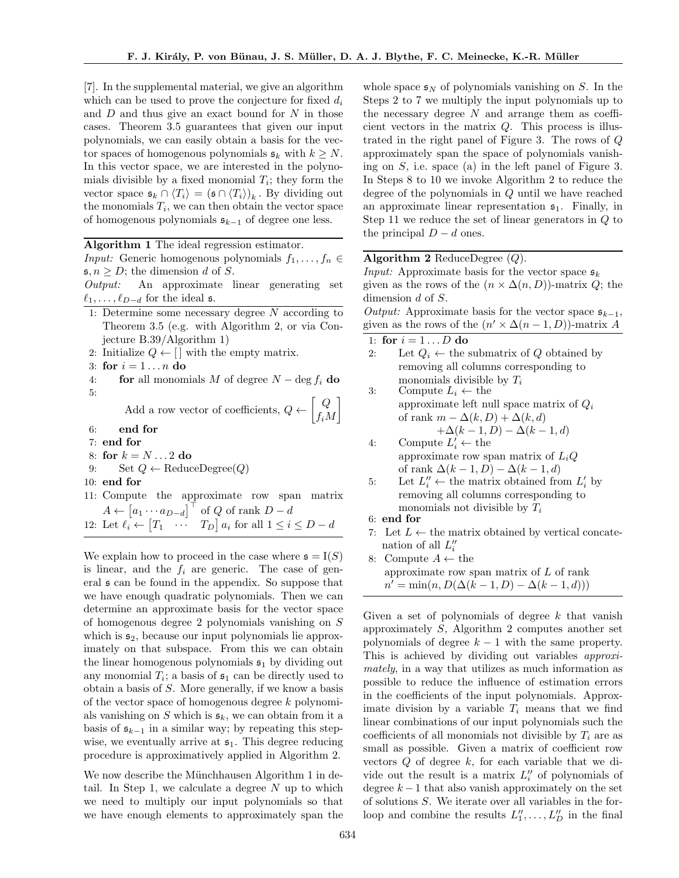[7]. In the supplemental material, we give an algorithm which can be used to prove the conjecture for fixed  $d_i$ and  $D$  and thus give an exact bound for  $N$  in those cases. Theorem 3.5 guarantees that given our input polynomials, we can easily obtain a basis for the vector spaces of homogenous polynomials  $\mathfrak{s}_k$  with  $k \geq N$ . In this vector space, we are interested in the polynomials divisible by a fixed monomial  $T_i$ ; they form the vector space  $\mathfrak{s}_k \cap \langle T_i \rangle = (\mathfrak{s} \cap \langle T_i \rangle)_k$ . By dividing out the monomials  $T_i$ , we can then obtain the vector space of homogenous polynomials  $\mathfrak{s}_{k-1}$  of degree one less.

Algorithm 1 The ideal regression estimator.

*Input:* Generic homogenous polynomials  $f_1, \ldots, f_n \in$  $s, n \geq D$ ; the dimension d of S.<br>Output: An approximate 1 An approximate linear generating set

 $\ell_1, \ldots, \ell_{D-d}$  for the ideal s.

- 1: Determine some necessary degree N according to Theorem 3.5 (e.g. with Algorithm 2, or via Conjecture B.39/Algorithm 1)
- 2: Initialize  $Q \leftarrow \lceil \cdot \rceil$  with the empty matrix.
- 3: for  $i = 1 \ldots n$  do
- 4: for all monomials M of degree  $N \deg f_i$  do 5:  $\lceil Q$ 1

Add a row vector of coefficients,  $Q \leftarrow$ 

- 6: end for
- 7: end for
- 8: for  $k = N \dots 2$  do
- 9: Set  $Q \leftarrow \text{ReduceDegree}(Q)$
- 10: end for
- 11: Compute the approximate row span matrix  $A \leftarrow [a_1 \cdots a_{D-d}]$ <sup> $\top$ </sup> of Q of rank  $D - d$ 12: Let  $\ell_i \leftarrow [T_1 \quad \cdots \quad T_D] \; a_i \; \text{for all} \; 1 \leq i \leq D - d$

We explain how to proceed in the case where  $\mathfrak{s} = I(S)$ is linear, and the  $f_i$  are generic. The case of general s can be found in the appendix. So suppose that we have enough quadratic polynomials. Then we can determine an approximate basis for the vector space of homogenous degree 2 polynomials vanishing on S which is  $s_2$ , because our input polynomials lie approximately on that subspace. From this we can obtain the linear homogenous polynomials  $\mathfrak{s}_1$  by dividing out any monomial  $T_i$ ; a basis of  $\mathfrak{s}_1$  can be directly used to obtain a basis of S. More generally, if we know a basis of the vector space of homogenous degree k polynomials vanishing on S which is  $s_k$ , we can obtain from it a basis of  $\mathfrak{s}_{k-1}$  in a similar way; by repeating this stepwise, we eventually arrive at  $\mathfrak{s}_1$ . This degree reducing procedure is approximatively applied in Algorithm 2.

We now describe the Münchhausen Algorithm 1 in detail. In Step 1, we calculate a degree  $N$  up to which we need to multiply our input polynomials so that we have enough elements to approximately span the whole space  $\mathfrak{s}_N$  of polynomials vanishing on S. In the Steps 2 to 7 we multiply the input polynomials up to the necessary degree  $N$  and arrange them as coefficient vectors in the matrix Q. This process is illustrated in the right panel of Figure 3. The rows of Q approximately span the space of polynomials vanishing on S, i.e. space (a) in the left panel of Figure 3. In Steps 8 to 10 we invoke Algorithm 2 to reduce the degree of the polynomials in Q until we have reached an approximate linear representation  $\mathfrak{s}_1$ . Finally, in Step 11 we reduce the set of linear generators in Q to the principal  $D - d$  ones.

## Algorithm 2 ReduceDegree  $(Q)$ .

*Input:* Approximate basis for the vector space  $s_k$ given as the rows of the  $(n \times \Delta(n, D))$ -matrix Q; the dimension d of S.

*Output:* Approximate basis for the vector space  $\mathfrak{s}_{k-1}$ , given as the rows of the  $(n' \times \Delta(n-1, D))$ -matrix A 1: for  $i = 1 \dots D$  do

- 2: Let  $Q_i \leftarrow$  the submatrix of Q obtained by removing all columns corresponding to monomials divisible by  $T_i$
- 3: Compute  $L_i \leftarrow$  the approximate left null space matrix of  $Q_i$ of rank  $m - \Delta(k, D) + \Delta(k, d)$  $+\Delta(k-1, D) - \Delta(k-1, d)$
- 4: Compute  $L'_i \leftarrow$  the approximate row span matrix of  $L_iQ$ of rank  $\Delta(k-1, D) - \Delta(k-1, d)$
- 5: Let  $L_i'' \leftarrow$  the matrix obtained from  $L_i'$  by removing all columns corresponding to monomials not divisible by  $T_i$
- 6: end for

 $f_iM$ 

- 7: Let  $L \leftarrow$  the matrix obtained by vertical concatenation of all  $L_i''$
- 8: Compute  $A \leftarrow$  the approximate row span matrix of L of rank  $n' = \min(n, D(\Delta(k - 1, D) - \Delta(k - 1, d)))$

Given a set of polynomials of degree  $k$  that vanish approximately S, Algorithm 2 computes another set polynomials of degree  $k - 1$  with the same property. This is achieved by dividing out variables approximately, in a way that utilizes as much information as possible to reduce the influence of estimation errors in the coefficients of the input polynomials. Approximate division by a variable  $T_i$  means that we find linear combinations of our input polynomials such the coefficients of all monomials not divisible by  $T_i$  are as small as possible. Given a matrix of coefficient row vectors  $Q$  of degree  $k$ , for each variable that we divide out the result is a matrix  $L_i''$  of polynomials of degree  $k-1$  that also vanish approximately on the set of solutions S. We iterate over all variables in the forloop and combine the results  $L''_1, \ldots, L''_D$  in the final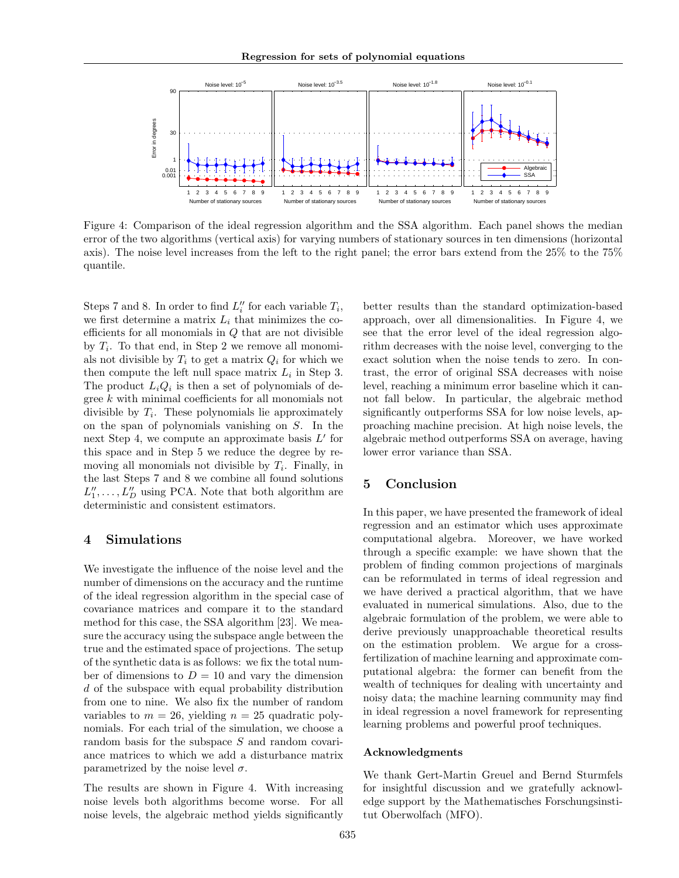

Figure 4: Comparison of the ideal regression algorithm and the SSA algorithm. Each panel shows the median error of the two algorithms (vertical axis) for varying numbers of stationary sources in ten dimensions (horizontal axis). The noise level increases from the left to the right panel; the error bars extend from the 25% to the 75% quantile.

Steps 7 and 8. In order to find  $L_i''$  for each variable  $T_i$ , we first determine a matrix  $L_i$  that minimizes the coefficients for all monomials in  $Q$  that are not divisible by  $T_i$ . To that end, in Step 2 we remove all monomials not divisible by  $T_i$  to get a matrix  $Q_i$  for which we then compute the left null space matrix  $L_i$  in Step 3. The product  $L_i Q_i$  is then a set of polynomials of degree k with minimal coefficients for all monomials not divisible by  $T_i$ . These polynomials lie approximately on the span of polynomials vanishing on S. In the next Step 4, we compute an approximate basis  $L'$  for this space and in Step 5 we reduce the degree by removing all monomials not divisible by  $T_i$ . Finally, in the last Steps 7 and 8 we combine all found solutions  $L''_1, \ldots, L''_D$  using PCA. Note that both algorithm are deterministic and consistent estimators.

# 4 Simulations

We investigate the influence of the noise level and the number of dimensions on the accuracy and the runtime of the ideal regression algorithm in the special case of covariance matrices and compare it to the standard method for this case, the SSA algorithm [23]. We measure the accuracy using the subspace angle between the true and the estimated space of projections. The setup of the synthetic data is as follows: we fix the total number of dimensions to  $D = 10$  and vary the dimension d of the subspace with equal probability distribution from one to nine. We also fix the number of random variables to  $m = 26$ , yielding  $n = 25$  quadratic polynomials. For each trial of the simulation, we choose a random basis for the subspace S and random covariance matrices to which we add a disturbance matrix parametrized by the noise level  $\sigma$ .

The results are shown in Figure 4. With increasing noise levels both algorithms become worse. For all noise levels, the algebraic method yields significantly

better results than the standard optimization-based approach, over all dimensionalities. In Figure 4, we see that the error level of the ideal regression algorithm decreases with the noise level, converging to the exact solution when the noise tends to zero. In contrast, the error of original SSA decreases with noise level, reaching a minimum error baseline which it cannot fall below. In particular, the algebraic method significantly outperforms SSA for low noise levels, approaching machine precision. At high noise levels, the algebraic method outperforms SSA on average, having lower error variance than SSA.

# 5 Conclusion

In this paper, we have presented the framework of ideal regression and an estimator which uses approximate computational algebra. Moreover, we have worked through a specific example: we have shown that the problem of finding common projections of marginals can be reformulated in terms of ideal regression and we have derived a practical algorithm, that we have evaluated in numerical simulations. Also, due to the algebraic formulation of the problem, we were able to derive previously unapproachable theoretical results on the estimation problem. We argue for a crossfertilization of machine learning and approximate computational algebra: the former can benefit from the wealth of techniques for dealing with uncertainty and noisy data; the machine learning community may find in ideal regression a novel framework for representing learning problems and powerful proof techniques.

#### Acknowledgments

We thank Gert-Martin Greuel and Bernd Sturmfels for insightful discussion and we gratefully acknowledge support by the Mathematisches Forschungsinstitut Oberwolfach (MFO).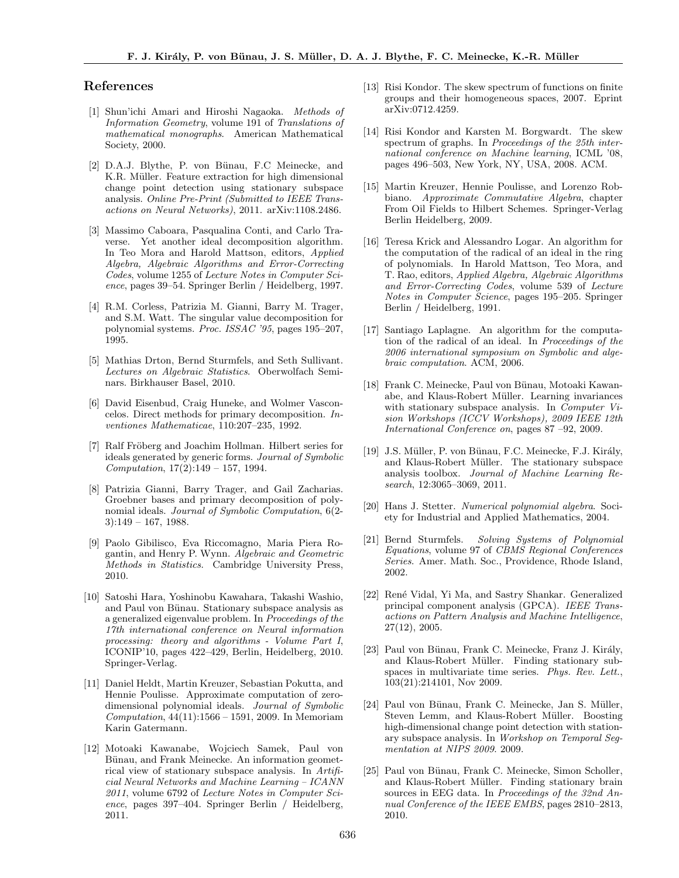### References

- [1] Shun'ichi Amari and Hiroshi Nagaoka. Methods of Information Geometry, volume 191 of Translations of mathematical monographs. American Mathematical Society, 2000.
- [2] D.A.J. Blythe, P. von Bünau, F.C Meinecke, and K.R. Müller. Feature extraction for high dimensional change point detection using stationary subspace analysis. Online Pre-Print (Submitted to IEEE Transactions on Neural Networks), 2011. arXiv:1108.2486.
- [3] Massimo Caboara, Pasqualina Conti, and Carlo Traverse. Yet another ideal decomposition algorithm. In Teo Mora and Harold Mattson, editors, Applied Algebra, Algebraic Algorithms and Error-Correcting Codes, volume 1255 of Lecture Notes in Computer Science, pages 39–54. Springer Berlin / Heidelberg, 1997.
- [4] R.M. Corless, Patrizia M. Gianni, Barry M. Trager, and S.M. Watt. The singular value decomposition for polynomial systems. Proc. ISSAC '95, pages 195–207, 1995.
- [5] Mathias Drton, Bernd Sturmfels, and Seth Sullivant. Lectures on Algebraic Statistics. Oberwolfach Seminars. Birkhauser Basel, 2010.
- [6] David Eisenbud, Craig Huneke, and Wolmer Vasconcelos. Direct methods for primary decomposition. Inventiones Mathematicae, 110:207–235, 1992.
- [7] Ralf Fröberg and Joachim Hollman. Hilbert series for ideals generated by generic forms. Journal of Symbolic Computation,  $17(2):149 - 157$ , 1994.
- [8] Patrizia Gianni, Barry Trager, and Gail Zacharias. Groebner bases and primary decomposition of polynomial ideals. Journal of Symbolic Computation, 6(2- 3):149 – 167, 1988.
- [9] Paolo Gibilisco, Eva Riccomagno, Maria Piera Rogantin, and Henry P. Wynn. Algebraic and Geometric Methods in Statistics. Cambridge University Press, 2010.
- [10] Satoshi Hara, Yoshinobu Kawahara, Takashi Washio, and Paul von Bünau. Stationary subspace analysis as a generalized eigenvalue problem. In Proceedings of the 17th international conference on Neural information processing: theory and algorithms - Volume Part I, ICONIP'10, pages 422–429, Berlin, Heidelberg, 2010. Springer-Verlag.
- [11] Daniel Heldt, Martin Kreuzer, Sebastian Pokutta, and Hennie Poulisse. Approximate computation of zerodimensional polynomial ideals. Journal of Symbolic  $Computation, 44(11):1566 - 1591, 2009.$  In Memoriam Karin Gatermann.
- [12] Motoaki Kawanabe, Wojciech Samek, Paul von Bünau, and Frank Meinecke. An information geometrical view of stationary subspace analysis. In Artificial Neural Networks and Machine Learning – ICANN 2011, volume 6792 of Lecture Notes in Computer Science, pages 397–404. Springer Berlin / Heidelberg, 2011.
- [13] Risi Kondor. The skew spectrum of functions on finite groups and their homogeneous spaces, 2007. Eprint arXiv:0712.4259.
- [14] Risi Kondor and Karsten M. Borgwardt. The skew spectrum of graphs. In Proceedings of the 25th international conference on Machine learning, ICML '08, pages 496–503, New York, NY, USA, 2008. ACM.
- [15] Martin Kreuzer, Hennie Poulisse, and Lorenzo Robbiano. Approximate Commutative Algebra, chapter From Oil Fields to Hilbert Schemes. Springer-Verlag Berlin Heidelberg, 2009.
- [16] Teresa Krick and Alessandro Logar. An algorithm for the computation of the radical of an ideal in the ring of polynomials. In Harold Mattson, Teo Mora, and T. Rao, editors, Applied Algebra, Algebraic Algorithms and Error-Correcting Codes, volume 539 of Lecture Notes in Computer Science, pages 195–205. Springer Berlin / Heidelberg, 1991.
- [17] Santiago Laplagne. An algorithm for the computation of the radical of an ideal. In Proceedings of the 2006 international symposium on Symbolic and algebraic computation. ACM, 2006.
- [18] Frank C. Meinecke, Paul von Bünau, Motoaki Kawanabe, and Klaus-Robert Müller. Learning invariances with stationary subspace analysis. In Computer Vision Workshops (ICCV Workshops), 2009 IEEE 12th International Conference on, pages 87 –92, 2009.
- [19] J.S. Müller, P. von Bünau, F.C. Meinecke, F.J. Király, and Klaus-Robert Müller. The stationary subspace analysis toolbox. Journal of Machine Learning Research, 12:3065–3069, 2011.
- [20] Hans J. Stetter. Numerical polynomial algebra. Society for Industrial and Applied Mathematics, 2004.
- [21] Bernd Sturmfels. Solving Systems of Polynomial Equations, volume 97 of CBMS Regional Conferences Series. Amer. Math. Soc., Providence, Rhode Island, 2002.
- [22] René Vidal, Yi Ma, and Sastry Shankar. Generalized principal component analysis (GPCA). IEEE Transactions on Pattern Analysis and Machine Intelligence, 27(12), 2005.
- [23] Paul von Bünau, Frank C. Meinecke, Franz J. Király, and Klaus-Robert Müller. Finding stationary subspaces in multivariate time series. Phys. Rev. Lett., 103(21):214101, Nov 2009.
- [24] Paul von Bünau, Frank C. Meinecke, Jan S. Müller, Steven Lemm, and Klaus-Robert Müller. Boosting high-dimensional change point detection with stationary subspace analysis. In Workshop on Temporal Segmentation at NIPS 2009. 2009.
- [25] Paul von Bünau, Frank C. Meinecke, Simon Scholler, and Klaus-Robert Müller. Finding stationary brain sources in EEG data. In Proceedings of the 32nd Annual Conference of the IEEE EMBS, pages 2810–2813, 2010.